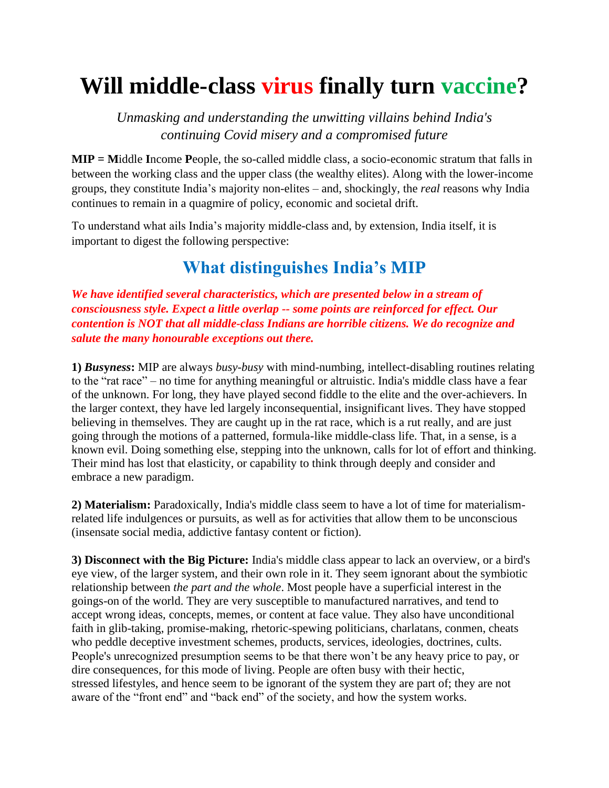## **Will middle-class virus finally turn vaccine?**

*Unmasking and understanding the unwitting villains behind India's continuing Covid misery and a compromised future*

**MIP = M**iddle **I**ncome **P**eople, the so-called middle class, a socio-economic stratum that falls in between the working class and the upper class (the wealthy elites). Along with the lower-income groups, they constitute India's majority non-elites – and, shockingly, the *real* reasons why India continues to remain in a quagmire of policy, economic and societal drift.

To understand what ails India's majority middle-class and, by extension, India itself, it is important to digest the following perspective:

## **What distinguishes India's MIP**

*We have identified several characteristics, which are presented below in a stream of consciousness style. Expect a little overlap -- some points are reinforced for effect. Our contention is NOT that all middle-class Indians are horrible citizens. We do recognize and salute the many honourable exceptions out there.*

**1)** *Bus***y***ness***:** MIP are always *busy-busy* with mind-numbing, intellect-disabling routines relating to the "rat race" – no time for anything meaningful or altruistic. India's middle class have a fear of the unknown. For long, they have played second fiddle to the elite and the over-achievers. In the larger context, they have led largely inconsequential, insignificant lives. They have stopped believing in themselves. They are caught up in the rat race, which is a rut really, and are just going through the motions of a patterned, formula-like middle-class life. That, in a sense, is a known evil. Doing something else, stepping into the unknown, calls for lot of effort and thinking. Their mind has lost that elasticity, or capability to think through deeply and consider and embrace a new paradigm.

**2) Materialism:** Paradoxically, India's middle class seem to have a lot of time for materialismrelated life indulgences or pursuits, as well as for activities that allow them to be unconscious (insensate social media, addictive fantasy content or fiction).

**3) Disconnect with the Big Picture:** India's middle class appear to lack an overview, or a bird's eye view, of the larger system, and their own role in it. They seem ignorant about the symbiotic relationship between *the part and the whole*. Most people have a superficial interest in the goings-on of the world. They are very susceptible to manufactured narratives, and tend to accept wrong ideas, concepts, memes, or content at face value. They also have unconditional faith in glib-taking, promise-making, rhetoric-spewing politicians, charlatans, conmen, cheats who peddle deceptive investment schemes, products, services, ideologies, doctrines, cults. People's unrecognized presumption seems to be that there won't be any heavy price to pay, or dire consequences, for this mode of living. People are often busy with their hectic, stressed lifestyles, and hence seem to be ignorant of the system they are part of; they are not aware of the "front end" and "back end" of the society, and how the system works.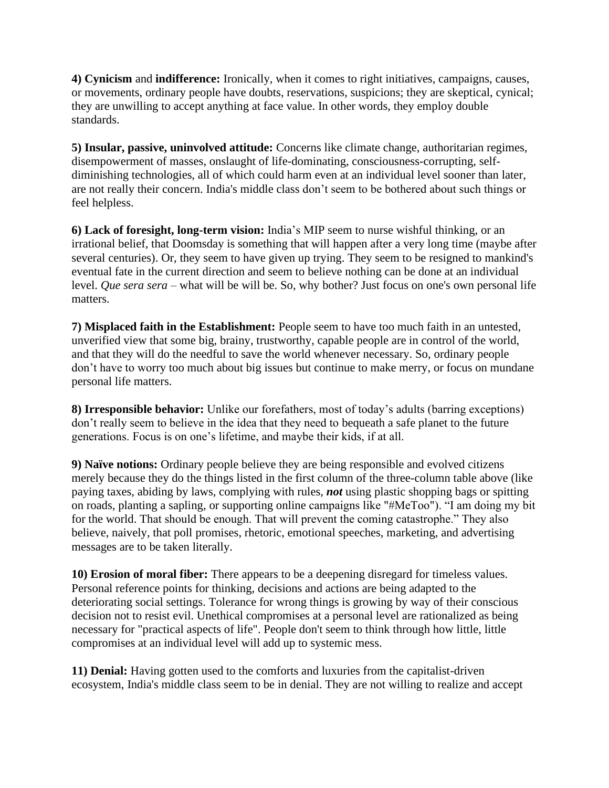**4) Cynicism** and **indifference:** Ironically, when it comes to right initiatives, campaigns, causes, or movements, ordinary people have doubts, reservations, suspicions; they are skeptical, cynical; they are unwilling to accept anything at face value. In other words, they employ double standards.

**5) Insular, passive, uninvolved attitude:** Concerns like climate change, authoritarian regimes, disempowerment of masses, onslaught of life-dominating, consciousness-corrupting, selfdiminishing technologies, all of which could harm even at an individual level sooner than later, are not really their concern. India's middle class don't seem to be bothered about such things or feel helpless.

**6) Lack of foresight, long-term vision:** India's MIP seem to nurse wishful thinking, or an irrational belief, that Doomsday is something that will happen after a very long time (maybe after several centuries). Or, they seem to have given up trying. They seem to be resigned to mankind's eventual fate in the current direction and seem to believe nothing can be done at an individual level. *Que sera sera* – what will be will be. So, why bother? Just focus on one's own personal life matters.

**7) Misplaced faith in the Establishment:** People seem to have too much faith in an untested, unverified view that some big, brainy, trustworthy, capable people are in control of the world, and that they will do the needful to save the world whenever necessary. So, ordinary people don't have to worry too much about big issues but continue to make merry, or focus on mundane personal life matters.

**8) Irresponsible behavior:** Unlike our forefathers, most of today's adults (barring exceptions) don't really seem to believe in the idea that they need to bequeath a safe planet to the future generations. Focus is on one's lifetime, and maybe their kids, if at all.

**9) Naïve notions:** Ordinary people believe they are being responsible and evolved citizens merely because they do the things listed in the first column of the three-column table above (like paying taxes, abiding by laws, complying with rules, *not* using plastic shopping bags or spitting on roads, planting a sapling, or supporting online campaigns like "#MeToo"). "I am doing my bit for the world. That should be enough. That will prevent the coming catastrophe." They also believe, naively, that poll promises, rhetoric, emotional speeches, marketing, and advertising messages are to be taken literally.

**10) Erosion of moral fiber:** There appears to be a deepening disregard for timeless values. Personal reference points for thinking, decisions and actions are being adapted to the deteriorating social settings. Tolerance for wrong things is growing by way of their conscious decision not to resist evil. Unethical compromises at a personal level are rationalized as being necessary for "practical aspects of life". People don't seem to think through how little, little compromises at an individual level will add up to systemic mess.

**11) Denial:** Having gotten used to the comforts and luxuries from the capitalist-driven ecosystem, India's middle class seem to be in denial. They are not willing to realize and accept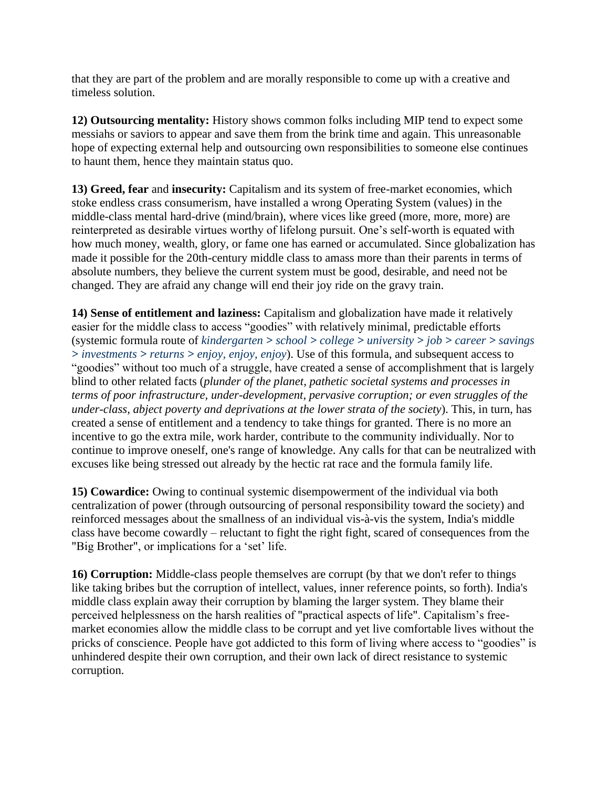that they are part of the problem and are morally responsible to come up with a creative and timeless solution.

**12) Outsourcing mentality:** History shows common folks including MIP tend to expect some messiahs or saviors to appear and save them from the brink time and again. This unreasonable hope of expecting external help and outsourcing own responsibilities to someone else continues to haunt them, hence they maintain status quo.

**13) Greed, fear** and **insecurity:** Capitalism and its system of free-market economies, which stoke endless crass consumerism, have installed a wrong Operating System (values) in the middle-class mental hard-drive (mind/brain), where vices like greed (more, more, more) are reinterpreted as desirable virtues worthy of lifelong pursuit. One's self-worth is equated with how much money, wealth, glory, or fame one has earned or accumulated. Since globalization has made it possible for the 20th-century middle class to amass more than their parents in terms of absolute numbers, they believe the current system must be good, desirable, and need not be changed. They are afraid any change will end their joy ride on the gravy train.

**14) Sense of entitlement and laziness:** Capitalism and globalization have made it relatively easier for the middle class to access "goodies" with relatively minimal, predictable efforts (systemic formula route of *kindergarten > school > college > university > job > career > savings > investments > returns > enjoy, enjoy, enjoy*). Use of this formula, and subsequent access to "goodies" without too much of a struggle, have created a sense of accomplishment that is largely blind to other related facts (*plunder of the planet, pathetic societal systems and processes in terms of poor infrastructure, under-development, pervasive corruption; or even struggles of the under-class, abject poverty and deprivations at the lower strata of the society*). This, in turn, has created a sense of entitlement and a tendency to take things for granted. There is no more an incentive to go the extra mile, work harder, contribute to the community individually. Nor to continue to improve oneself, one's range of knowledge. Any calls for that can be neutralized with excuses like being stressed out already by the hectic rat race and the formula family life.

**15) Cowardice:** Owing to continual systemic disempowerment of the individual via both centralization of power (through outsourcing of personal responsibility toward the society) and reinforced messages about the smallness of an individual vis-à-vis the system, India's middle class have become cowardly – reluctant to fight the right fight, scared of consequences from the "Big Brother", or implications for a 'set' life.

**16) Corruption:** Middle-class people themselves are corrupt (by that we don't refer to things like taking bribes but the corruption of intellect, values, inner reference points, so forth). India's middle class explain away their corruption by blaming the larger system. They blame their perceived helplessness on the harsh realities of "practical aspects of life". Capitalism's freemarket economies allow the middle class to be corrupt and yet live comfortable lives without the pricks of conscience. People have got addicted to this form of living where access to "goodies" is unhindered despite their own corruption, and their own lack of direct resistance to systemic corruption.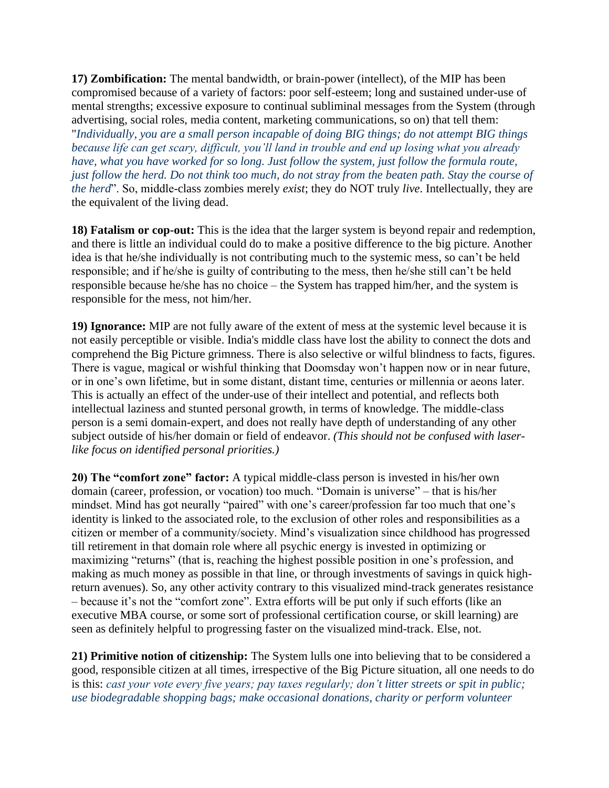**17) Zombification:** The mental bandwidth, or brain-power (intellect), of the MIP has been compromised because of a variety of factors: poor self-esteem; long and sustained under-use of mental strengths; excessive exposure to continual subliminal messages from the System (through advertising, social roles, media content, marketing communications, so on) that tell them: "*Individually, you are a small person incapable of doing BIG things; do not attempt BIG things because life can get scary, difficult, you'll land in trouble and end up losing what you already have, what you have worked for so long. Just follow the system, just follow the formula route, just follow the herd. Do not think too much, do not stray from the beaten path. Stay the course of the herd*". So, middle-class zombies merely *exist*; they do NOT truly *live*. Intellectually, they are the equivalent of the living dead.

**18) Fatalism or cop-out:** This is the idea that the larger system is beyond repair and redemption, and there is little an individual could do to make a positive difference to the big picture. Another idea is that he/she individually is not contributing much to the systemic mess, so can't be held responsible; and if he/she is guilty of contributing to the mess, then he/she still can't be held responsible because he/she has no choice – the System has trapped him/her, and the system is responsible for the mess, not him/her.

**19) Ignorance:** MIP are not fully aware of the extent of mess at the systemic level because it is not easily perceptible or visible. India's middle class have lost the ability to connect the dots and comprehend the Big Picture grimness. There is also selective or wilful blindness to facts, figures. There is vague, magical or wishful thinking that Doomsday won't happen now or in near future, or in one's own lifetime, but in some distant, distant time, centuries or millennia or aeons later. This is actually an effect of the under-use of their intellect and potential, and reflects both intellectual laziness and stunted personal growth, in terms of knowledge. The middle-class person is a semi domain-expert, and does not really have depth of understanding of any other subject outside of his/her domain or field of endeavor. *(This should not be confused with laserlike focus on identified personal priorities.)*

**20) The "comfort zone" factor:** A typical middle-class person is invested in his/her own domain (career, profession, or vocation) too much. "Domain is universe" – that is his/her mindset. Mind has got neurally "paired" with one's career/profession far too much that one's identity is linked to the associated role, to the exclusion of other roles and responsibilities as a citizen or member of a community/society. Mind's visualization since childhood has progressed till retirement in that domain role where all psychic energy is invested in optimizing or maximizing "returns" (that is, reaching the highest possible position in one's profession, and making as much money as possible in that line, or through investments of savings in quick highreturn avenues). So, any other activity contrary to this visualized mind-track generates resistance – because it's not the "comfort zone". Extra efforts will be put only if such efforts (like an executive MBA course, or some sort of professional certification course, or skill learning) are seen as definitely helpful to progressing faster on the visualized mind-track. Else, not.

**21) Primitive notion of citizenship:** The System lulls one into believing that to be considered a good, responsible citizen at all times, irrespective of the Big Picture situation, all one needs to do is this: *cast your vote every five years; pay taxes regularly; don't litter streets or spit in public; use biodegradable shopping bags; make occasional donations, charity or perform volunteer*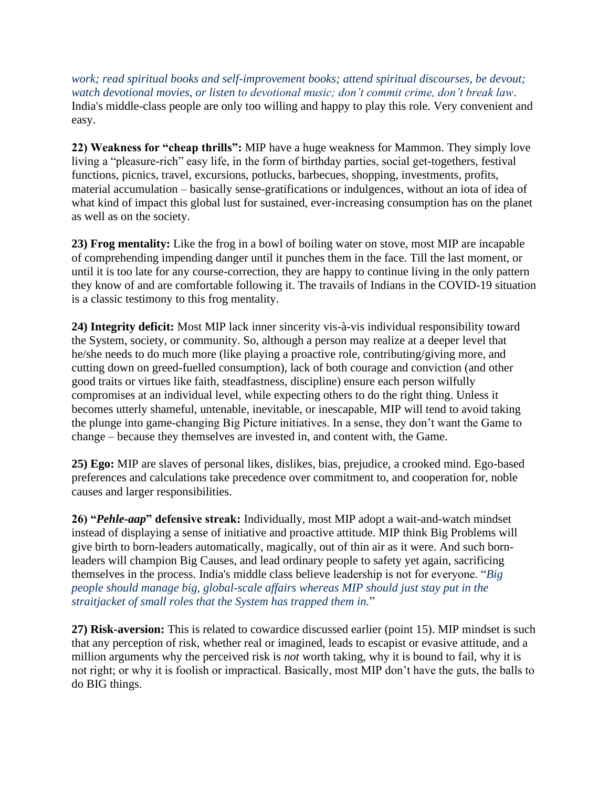*work; read spiritual books and self-improvement books; attend spiritual discourses, be devout; watch devotional movies, or listen to devotional music; don't commit crime, don't break law*. India's middle-class people are only too willing and happy to play this role. Very convenient and easy.

**22) Weakness for "cheap thrills":** MIP have a huge weakness for Mammon. They simply love living a "pleasure-rich" easy life, in the form of birthday parties, social get-togethers, festival functions, picnics, travel, excursions, potlucks, barbecues, shopping, investments, profits, material accumulation – basically sense-gratifications or indulgences, without an iota of idea of what kind of impact this global lust for sustained, ever-increasing consumption has on the planet as well as on the society.

**23) Frog mentality:** Like the frog in a bowl of boiling water on stove, most MIP are incapable of comprehending impending danger until it punches them in the face. Till the last moment, or until it is too late for any course-correction, they are happy to continue living in the only pattern they know of and are comfortable following it. The travails of Indians in the COVID-19 situation is a classic testimony to this frog mentality.

**24) Integrity deficit:** Most MIP lack inner sincerity vis-à-vis individual responsibility toward the System, society, or community. So, although a person may realize at a deeper level that he/she needs to do much more (like playing a proactive role, contributing/giving more, and cutting down on greed-fuelled consumption), lack of both courage and conviction (and other good traits or virtues like faith, steadfastness, discipline) ensure each person wilfully compromises at an individual level, while expecting others to do the right thing. Unless it becomes utterly shameful, untenable, inevitable, or inescapable, MIP will tend to avoid taking the plunge into game-changing Big Picture initiatives. In a sense, they don't want the Game to change – because they themselves are invested in, and content with, the Game.

**25) Ego:** MIP are slaves of personal likes, dislikes, bias, prejudice, a crooked mind. Ego-based preferences and calculations take precedence over commitment to, and cooperation for, noble causes and larger responsibilities.

**26) "***Pehle-aap***" defensive streak:** Individually, most MIP adopt a wait-and-watch mindset instead of displaying a sense of initiative and proactive attitude. MIP think Big Problems will give birth to born-leaders automatically, magically, out of thin air as it were. And such bornleaders will champion Big Causes, and lead ordinary people to safety yet again, sacrificing themselves in the process. India's middle class believe leadership is not for everyone. "*Big people should manage big, global-scale affairs whereas MIP should just stay put in the straitjacket of small roles that the System has trapped them in.*"

**27) Risk-aversion:** This is related to cowardice discussed earlier (point 15). MIP mindset is such that any perception of risk, whether real or imagined, leads to escapist or evasive attitude, and a million arguments why the perceived risk is *not* worth taking, why it is bound to fail, why it is not right; or why it is foolish or impractical. Basically, most MIP don't have the guts, the balls to do BIG things.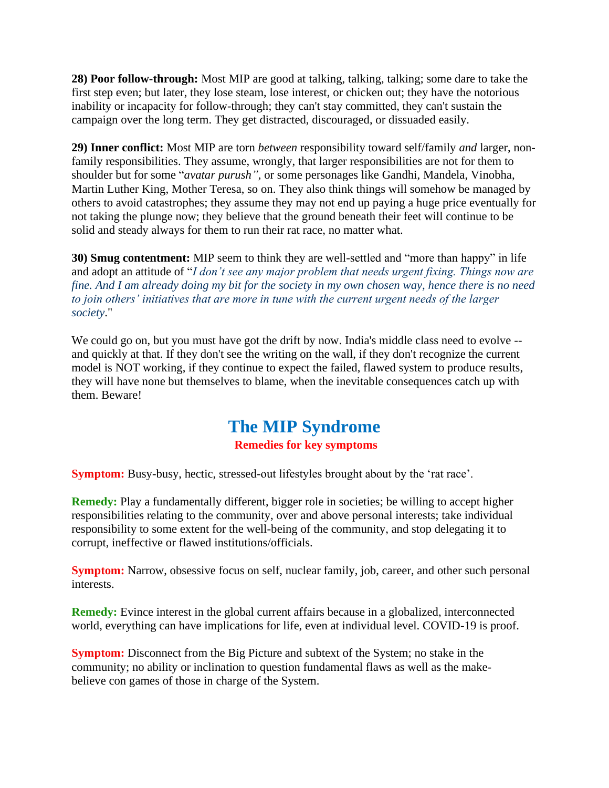**28) Poor follow-through:** Most MIP are good at talking, talking, talking; some dare to take the first step even; but later, they lose steam, lose interest, or chicken out; they have the notorious inability or incapacity for follow-through; they can't stay committed, they can't sustain the campaign over the long term. They get distracted, discouraged, or dissuaded easily.

**29) Inner conflict:** Most MIP are torn *between* responsibility toward self/family *and* larger, nonfamily responsibilities. They assume, wrongly, that larger responsibilities are not for them to shoulder but for some "*avatar purush"*, or some personages like Gandhi, Mandela, Vinobha, Martin Luther King, Mother Teresa, so on. They also think things will somehow be managed by others to avoid catastrophes; they assume they may not end up paying a huge price eventually for not taking the plunge now; they believe that the ground beneath their feet will continue to be solid and steady always for them to run their rat race, no matter what.

**30) Smug contentment:** MIP seem to think they are well-settled and "more than happy" in life and adopt an attitude of "*I don't see any major problem that needs urgent fixing. Things now are fine. And I am already doing my bit for the society in my own chosen way, hence there is no need to join others' initiatives that are more in tune with the current urgent needs of the larger society*."

We could go on, but you must have got the drift by now. India's middle class need to evolve -and quickly at that. If they don't see the writing on the wall, if they don't recognize the current model is NOT working, if they continue to expect the failed, flawed system to produce results, they will have none but themselves to blame, when the inevitable consequences catch up with them. Beware!

## **The MIP Syndrome**

## **Remedies for key symptoms**

**Symptom:** Busy-busy, hectic, stressed-out lifestyles brought about by the 'rat race'.

**Remedy:** Play a fundamentally different, bigger role in societies; be willing to accept higher responsibilities relating to the community, over and above personal interests; take individual responsibility to some extent for the well-being of the community, and stop delegating it to corrupt, ineffective or flawed institutions/officials.

**Symptom:** Narrow, obsessive focus on self, nuclear family, job, career, and other such personal interests.

**Remedy:** Evince interest in the global current affairs because in a globalized, interconnected world, everything can have implications for life, even at individual level. COVID-19 is proof.

**Symptom:** Disconnect from the Big Picture and subtext of the System; no stake in the community; no ability or inclination to question fundamental flaws as well as the makebelieve con games of those in charge of the System.